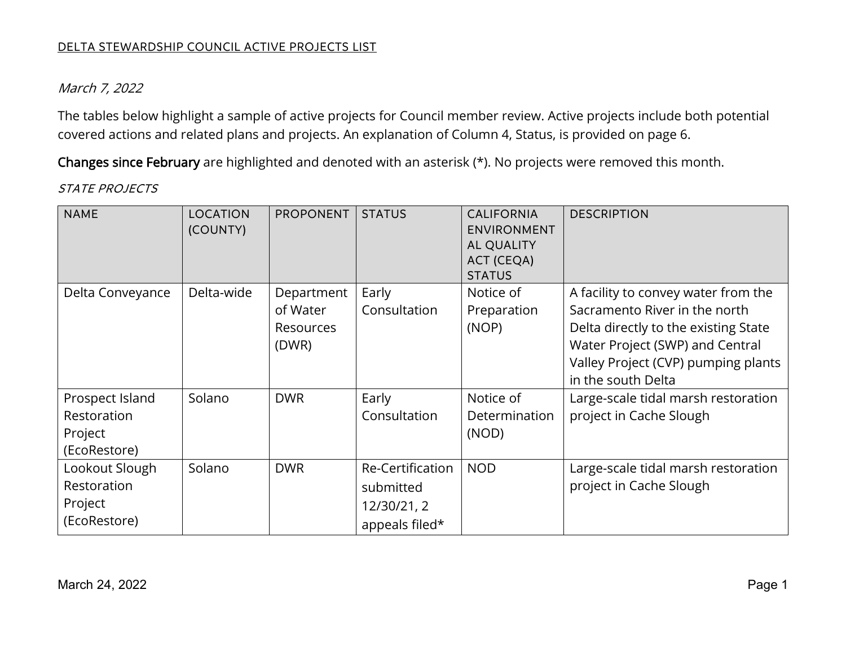### March 7, 2022

covered actions and related plans and projects. An explanation of Column 4, Status, is provided on page 6. The tables below highlight a sample of active projects for Council member review. Active projects include both potential

covered actions and related plans and projects. An explanation of Column 4, Status, is provided on page 6.<br>**Changes since February** are highlighted and denoted with an asterisk (\*). No projects were removed this month.

### STATE PROJECTS

| <b>NAME</b>                                               | <b>LOCATION</b><br>(COUNTY) | <b>PROPONENT</b>                                    | <b>STATUS</b>                                                  | <b>CALIFORNIA</b><br><b>ENVIRONMENT</b><br><b>AL QUALITY</b><br>ACT (CEQA)<br><b>STATUS</b> | <b>DESCRIPTION</b>                                                                                                                                                                                           |
|-----------------------------------------------------------|-----------------------------|-----------------------------------------------------|----------------------------------------------------------------|---------------------------------------------------------------------------------------------|--------------------------------------------------------------------------------------------------------------------------------------------------------------------------------------------------------------|
| Delta Conveyance                                          | Delta-wide                  | Department<br>of Water<br><b>Resources</b><br>(DWR) | Early<br>Consultation                                          | Notice of<br>Preparation<br>(NOP)                                                           | A facility to convey water from the<br>Sacramento River in the north<br>Delta directly to the existing State<br>Water Project (SWP) and Central<br>Valley Project (CVP) pumping plants<br>in the south Delta |
| Prospect Island<br>Restoration<br>Project<br>(EcoRestore) | Solano                      | <b>DWR</b>                                          | Early<br>Consultation                                          | Notice of<br>Determination<br>(NOD)                                                         | Large-scale tidal marsh restoration<br>project in Cache Slough                                                                                                                                               |
| Lookout Slough<br>Restoration<br>Project<br>(EcoRestore)  | Solano                      | <b>DWR</b>                                          | Re-Certification<br>submitted<br>12/30/21, 2<br>appeals filed* | <b>NOD</b>                                                                                  | Large-scale tidal marsh restoration<br>project in Cache Slough                                                                                                                                               |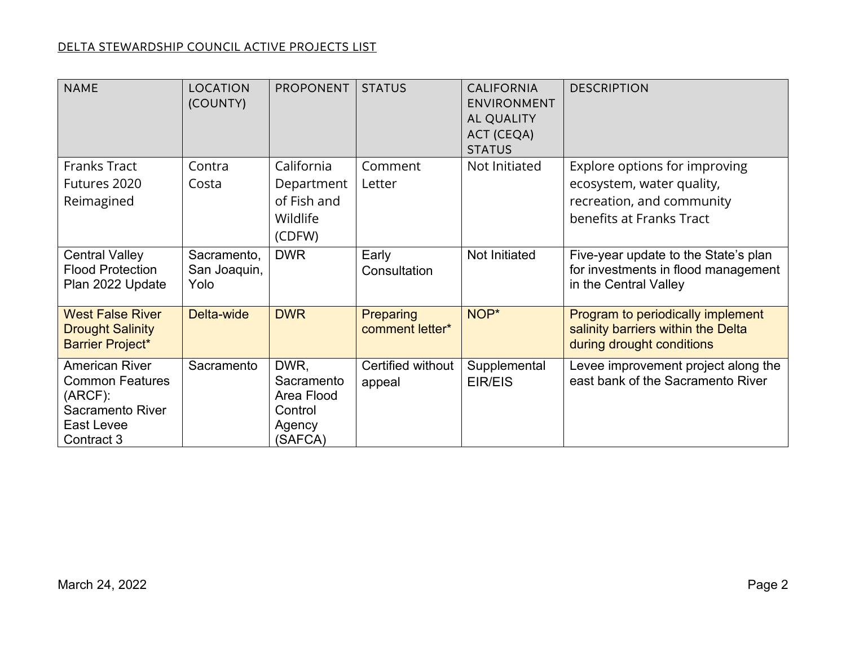| <b>NAME</b>                                                                                                          | <b>LOCATION</b><br>(COUNTY)         | <b>PROPONENT</b>                                                 | <b>STATUS</b>                | <b>CALIFORNIA</b><br><b>ENVIRONMENT</b><br><b>AL QUALITY</b><br>ACT (CEQA)<br><b>STATUS</b> | <b>DESCRIPTION</b>                                                                                                  |
|----------------------------------------------------------------------------------------------------------------------|-------------------------------------|------------------------------------------------------------------|------------------------------|---------------------------------------------------------------------------------------------|---------------------------------------------------------------------------------------------------------------------|
| <b>Franks Tract</b><br>Futures 2020<br>Reimagined                                                                    | Contra<br>Costa                     | California<br>Department<br>of Fish and<br>Wildlife<br>(CDFW)    | Comment<br>Letter            | Not Initiated                                                                               | Explore options for improving<br>ecosystem, water quality,<br>recreation, and community<br>benefits at Franks Tract |
| <b>Central Valley</b><br><b>Flood Protection</b><br>Plan 2022 Update                                                 | Sacramento,<br>San Joaquin,<br>Yolo | <b>DWR</b>                                                       | Early<br>Consultation        | <b>Not Initiated</b>                                                                        | Five-year update to the State's plan<br>for investments in flood management<br>in the Central Valley                |
| <b>West False River</b><br><b>Drought Salinity</b><br><b>Barrier Project*</b>                                        | Delta-wide                          | <b>DWR</b>                                                       | Preparing<br>comment letter* | NOP*                                                                                        | Program to periodically implement<br>salinity barriers within the Delta<br>during drought conditions                |
| <b>American River</b><br><b>Common Features</b><br>$(ARCF)$ :<br><b>Sacramento River</b><br>East Levee<br>Contract 3 | Sacramento                          | DWR,<br>Sacramento<br>Area Flood<br>Control<br>Agency<br>(SAFCA) | Certified without<br>appeal  | Supplemental<br>EIR/EIS                                                                     | Levee improvement project along the<br>east bank of the Sacramento River                                            |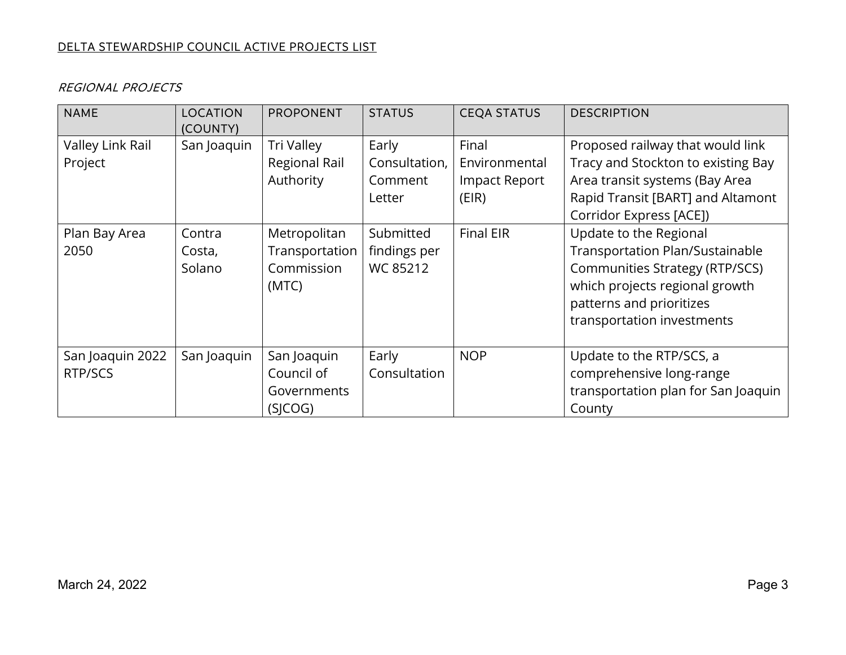| <b>NAME</b>                 | <b>LOCATION</b><br>(COUNTY) | <b>PROPONENT</b>                                      | <b>STATUS</b>                                | <b>CEQA STATUS</b>                               | <b>DESCRIPTION</b>                                                                                                                                                                      |
|-----------------------------|-----------------------------|-------------------------------------------------------|----------------------------------------------|--------------------------------------------------|-----------------------------------------------------------------------------------------------------------------------------------------------------------------------------------------|
| Valley Link Rail<br>Project | San Joaquin                 | Tri Valley<br>Regional Rail<br>Authority              | Early<br>Consultation,<br>Comment<br>Letter  | Final<br>Environmental<br>Impact Report<br>(EIR) | Proposed railway that would link<br>Tracy and Stockton to existing Bay<br>Area transit systems (Bay Area<br>Rapid Transit [BART] and Altamont<br>Corridor Express [ACE])                |
| Plan Bay Area<br>2050       | Contra<br>Costa,<br>Solano  | Metropolitan<br>Transportation<br>Commission<br>(MTC) | Submitted<br>findings per<br><b>WC 85212</b> | <b>Final EIR</b>                                 | Update to the Regional<br>Transportation Plan/Sustainable<br>Communities Strategy (RTP/SCS)<br>which projects regional growth<br>patterns and prioritizes<br>transportation investments |
| San Joaquin 2022<br>RTP/SCS | San Joaquin                 | San Joaquin<br>Council of<br>Governments<br>(SICOG)   | Early<br>Consultation                        | <b>NOP</b>                                       | Update to the RTP/SCS, a<br>comprehensive long-range<br>transportation plan for San Joaquin<br>County                                                                                   |

### REGIONAL PROJECTS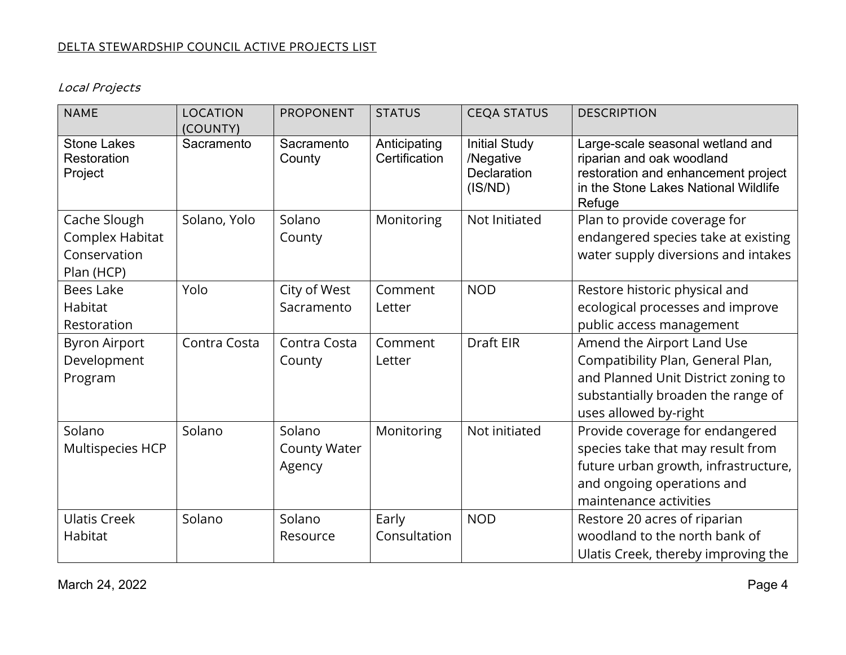Local Projects

| <b>NAME</b>                                                   | LOCATION<br>(COUNTY) | <b>PROPONENT</b>                        | <b>STATUS</b>                 | <b>CEQA STATUS</b>                                          | <b>DESCRIPTION</b>                                                                                                                                                    |
|---------------------------------------------------------------|----------------------|-----------------------------------------|-------------------------------|-------------------------------------------------------------|-----------------------------------------------------------------------------------------------------------------------------------------------------------------------|
| <b>Stone Lakes</b><br>Restoration<br>Project                  | Sacramento           | Sacramento<br>County                    | Anticipating<br>Certification | <b>Initial Study</b><br>/Negative<br>Declaration<br>(IS/ND) | Large-scale seasonal wetland and<br>riparian and oak woodland<br>restoration and enhancement project<br>in the Stone Lakes National Wildlife<br>Refuge                |
| Cache Slough<br>Complex Habitat<br>Conservation<br>Plan (HCP) | Solano, Yolo         | Solano<br>County                        | Monitoring                    | Not Initiated                                               | Plan to provide coverage for<br>endangered species take at existing<br>water supply diversions and intakes                                                            |
| <b>Bees Lake</b>                                              | Yolo                 | City of West                            | Comment                       | <b>NOD</b>                                                  | Restore historic physical and                                                                                                                                         |
| <b>Habitat</b><br>Restoration                                 |                      | Sacramento                              | Letter                        |                                                             | ecological processes and improve<br>public access management                                                                                                          |
| <b>Byron Airport</b><br>Development<br>Program                | Contra Costa         | Contra Costa<br>County                  | Comment<br>Letter             | Draft EIR                                                   | Amend the Airport Land Use<br>Compatibility Plan, General Plan,<br>and Planned Unit District zoning to<br>substantially broaden the range of<br>uses allowed by-right |
| Solano<br>Multispecies HCP                                    | Solano               | Solano<br><b>County Water</b><br>Agency | Monitoring                    | Not initiated                                               | Provide coverage for endangered<br>species take that may result from<br>future urban growth, infrastructure,<br>and ongoing operations and<br>maintenance activities  |
| <b>Ulatis Creek</b><br>Habitat                                | Solano               | Solano<br>Resource                      | Early<br>Consultation         | <b>NOD</b>                                                  | Restore 20 acres of riparian<br>woodland to the north bank of<br>Ulatis Creek, thereby improving the                                                                  |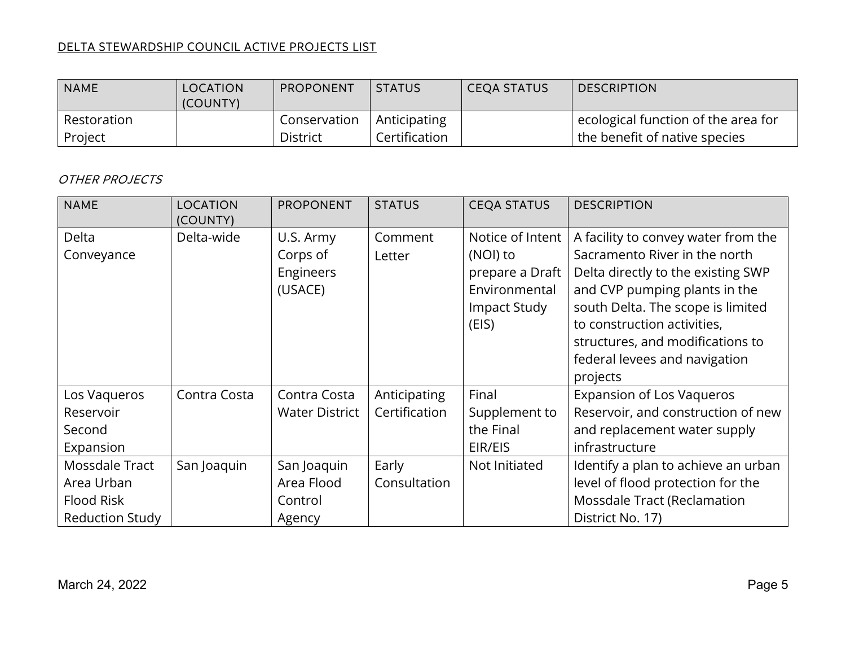| <b>NAME</b> | LOCATION<br>(COUNTY) | PROPONENT       | <b>STATUS</b> | CEQA STATUS | <b>DESCRIPTION</b>                  |
|-------------|----------------------|-----------------|---------------|-------------|-------------------------------------|
| Restoration |                      | Conservation    | Anticipating  |             | ecological function of the area for |
| Project     |                      | <b>District</b> | Certification |             | the benefit of native species       |

# OTHER PROJECTS

| <b>NAME</b>            | <b>LOCATION</b><br>(COUNTY) | <b>PROPONENT</b>      | <b>STATUS</b> | <b>CEQA STATUS</b> | <b>DESCRIPTION</b>                  |
|------------------------|-----------------------------|-----------------------|---------------|--------------------|-------------------------------------|
| Delta                  | Delta-wide                  | U.S. Army             | Comment       | Notice of Intent   | A facility to convey water from the |
| Conveyance             |                             | Corps of              | Letter        | (NOI) to           | Sacramento River in the north       |
|                        |                             | Engineers             |               | prepare a Draft    | Delta directly to the existing SWP  |
|                        |                             | (USACE)               |               | Environmental      | and CVP pumping plants in the       |
|                        |                             |                       |               | Impact Study       | south Delta. The scope is limited   |
|                        |                             |                       |               | (EIS)              | to construction activities,         |
|                        |                             |                       |               |                    | structures, and modifications to    |
|                        |                             |                       |               |                    | federal levees and navigation       |
|                        |                             |                       |               |                    | projects                            |
| Los Vaqueros           | Contra Costa                | Contra Costa          | Anticipating  | Final              | <b>Expansion of Los Vaqueros</b>    |
| Reservoir              |                             | <b>Water District</b> | Certification | Supplement to      | Reservoir, and construction of new  |
| Second                 |                             |                       |               | the Final          | and replacement water supply        |
| Expansion              |                             |                       |               | EIR/EIS            | infrastructure                      |
| Mossdale Tract         | San Joaquin                 | San Joaquin           | Early         | Not Initiated      | Identify a plan to achieve an urban |
| Area Urban             |                             | Area Flood            | Consultation  |                    | level of flood protection for the   |
| Flood Risk             |                             | Control               |               |                    | Mossdale Tract (Reclamation         |
| <b>Reduction Study</b> |                             | Agency                |               |                    | District No. 17)                    |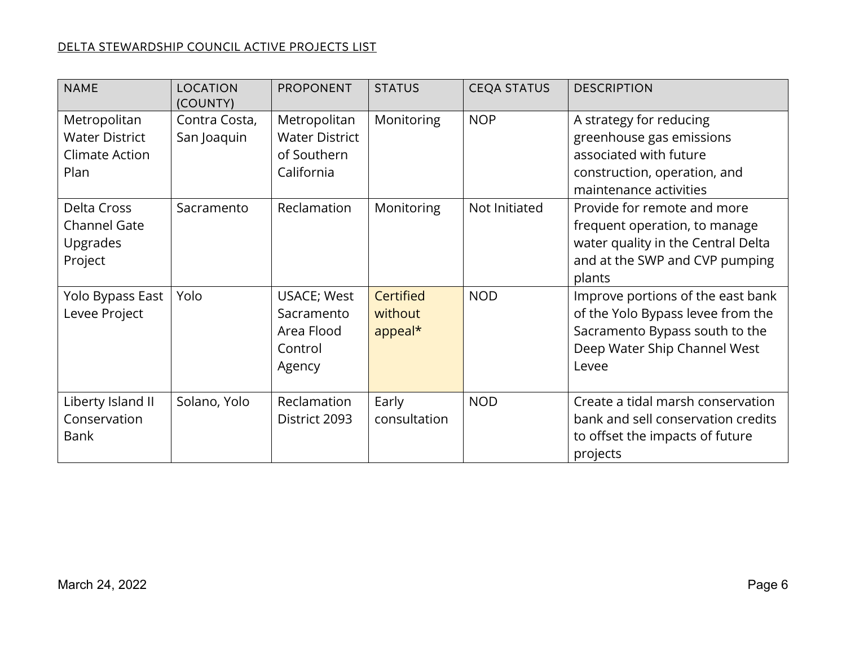| <b>NAME</b>                                                     | <b>LOCATION</b><br>(COUNTY)  | <b>PROPONENT</b>                                                    | <b>STATUS</b>                          | <b>CEQA STATUS</b> | <b>DESCRIPTION</b>                                                                                                                                |
|-----------------------------------------------------------------|------------------------------|---------------------------------------------------------------------|----------------------------------------|--------------------|---------------------------------------------------------------------------------------------------------------------------------------------------|
| Metropolitan<br><b>Water District</b><br>Climate Action<br>Plan | Contra Costa,<br>San Joaquin | Metropolitan<br><b>Water District</b><br>of Southern<br>California  | Monitoring                             | <b>NOP</b>         | A strategy for reducing<br>greenhouse gas emissions<br>associated with future<br>construction, operation, and<br>maintenance activities           |
| Delta Cross<br><b>Channel Gate</b><br>Upgrades<br>Project       | Sacramento                   | Reclamation                                                         | Monitoring                             | Not Initiated      | Provide for remote and more<br>frequent operation, to manage<br>water quality in the Central Delta<br>and at the SWP and CVP pumping<br>plants    |
| Yolo Bypass East<br>Levee Project                               | Yolo                         | <b>USACE; West</b><br>Sacramento<br>Area Flood<br>Control<br>Agency | <b>Certified</b><br>without<br>appeal* | <b>NOD</b>         | Improve portions of the east bank<br>of the Yolo Bypass levee from the<br>Sacramento Bypass south to the<br>Deep Water Ship Channel West<br>Levee |
| Liberty Island II<br>Conservation<br>Bank                       | Solano, Yolo                 | Reclamation<br>District 2093                                        | Early<br>consultation                  | <b>NOD</b>         | Create a tidal marsh conservation<br>bank and sell conservation credits<br>to offset the impacts of future<br>projects                            |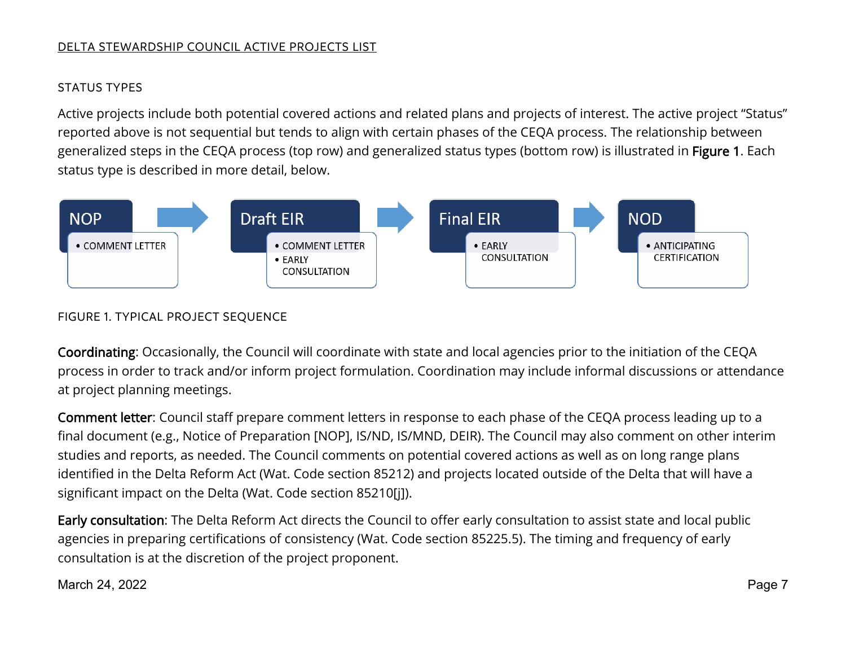# STATUS TYPES

 status type is described in more detail, below. Active projects include both potential covered actions and related plans and projects of interest. The active project "Status" reported above is not sequential but tends to align with certain phases of the CEQA process. The relationship between generalized steps in the CEQA process (top row) and generalized status types (bottom row) is illustrated in Figure 1. Each



# FIGURE 1. TYPICAL PROJECT SEQUENCE

 process in order to track and/or inform project formulation. Coordination may include informal discussions or attendance Coordinating: Occasionally, the Council will coordinate with state and local agencies prior to the initiation of the CEQA at project planning meetings.

 identified in the Delta Reform Act (Wat. Code section 85212) and projects located outside of the Delta that will have a Comment letter: Council staff prepare comment letters in response to each phase of the CEQA process leading up to a final document (e.g., Notice of Preparation [NOP], IS/ND, IS/MND, DEIR). The Council may also comment on other interim studies and reports, as needed. The Council comments on potential covered actions as well as on long range plans significant impact on the Delta (Wat. Code section 85210[j]).

 agencies in preparing certifications of consistency (Wat. Code section 85225.5). The timing and frequency of early consultation is at the discretion of the project proponent. Early consultation: The Delta Reform Act directs the Council to offer early consultation to assist state and local public

March 24, 2022 March 24, 2022 Page 7